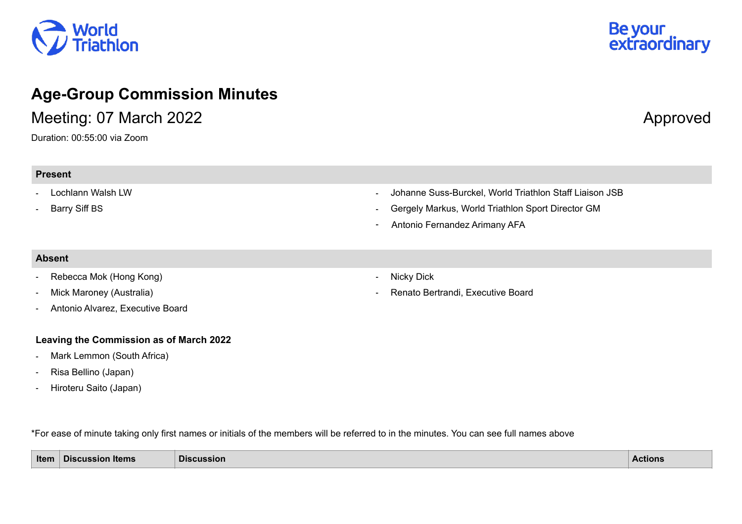## *N*orld<br>Friathlon

### **Age-Group Commission Minutes**

Meeting: 07 March 2022 **Approved** 

Duration: 00:55:00 via Zoom

# Be your<br>extraordinary

#### **Present**

#### - Lochlann Walsh LW

- Barry Siff BS

- Johanne Suss-Burckel, World Triathlon Staff Liaison JSB
- Gergely Markus, World Triathlon Sport Director GM
- Antonio Fernandez Arimany AFA

#### **Absent**

- Rebecca Mok (Hong Kong)
- Mick Maroney (Australia)
- Antonio Alvarez, Executive Board

#### **Leaving the Commission as of March 2022**

- Mark Lemmon (South Africa)
- Risa Bellino (Japan)
- Hiroteru Saito (Japan)
- Nicky Dick
- Renato Bertrandi, Executive Board

\*For ease of minute taking only first names or initials of the members will be referred to in the minutes. You can see full names above

| Item | <b>Discussion Items</b> | <b>Discussion</b> | <b>Actions</b> |
|------|-------------------------|-------------------|----------------|
|------|-------------------------|-------------------|----------------|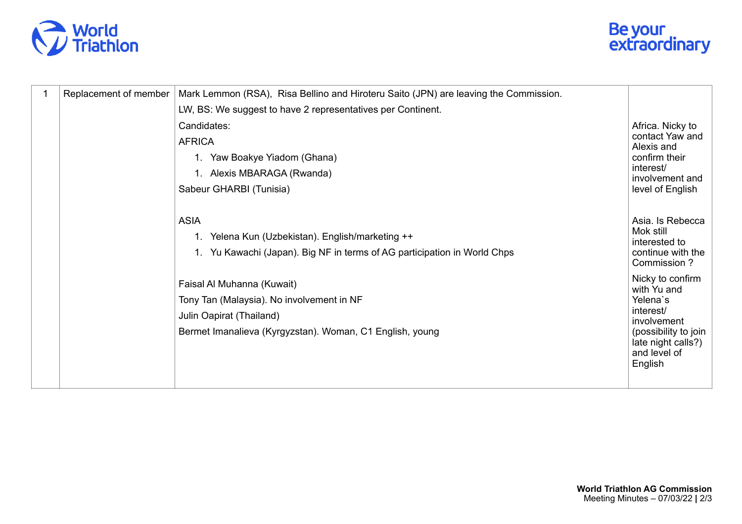



| 1 | Replacement of member | Mark Lemmon (RSA), Risa Bellino and Hiroteru Saito (JPN) are leaving the Commission. |                                                                                      |
|---|-----------------------|--------------------------------------------------------------------------------------|--------------------------------------------------------------------------------------|
|   |                       | LW, BS: We suggest to have 2 representatives per Continent.                          |                                                                                      |
|   |                       | Candidates:                                                                          | Africa. Nicky to                                                                     |
|   |                       | <b>AFRICA</b>                                                                        | contact Yaw and<br>Alexis and                                                        |
|   |                       | 1. Yaw Boakye Yiadom (Ghana)                                                         | confirm their                                                                        |
|   |                       | 1. Alexis MBARAGA (Rwanda)                                                           | interest/<br>involvement and                                                         |
|   |                       | Sabeur GHARBI (Tunisia)                                                              | level of English                                                                     |
|   |                       |                                                                                      |                                                                                      |
|   |                       | <b>ASIA</b>                                                                          | Asia. Is Rebecca                                                                     |
|   |                       | 1. Yelena Kun (Uzbekistan). English/marketing ++                                     | Mok still<br>interested to                                                           |
|   |                       | 1. Yu Kawachi (Japan). Big NF in terms of AG participation in World Chps             | continue with the<br>Commission ?                                                    |
|   |                       | Faisal Al Muhanna (Kuwait)                                                           | Nicky to confirm                                                                     |
|   |                       | Tony Tan (Malaysia). No involvement in NF                                            | with Yu and<br>Yelena's                                                              |
|   |                       | Julin Oapirat (Thailand)                                                             | interest/                                                                            |
|   |                       | Bermet Imanalieva (Kyrgyzstan). Woman, C1 English, young                             | involvement<br>(possibility to join<br>late night calls?)<br>and level of<br>English |
|   |                       |                                                                                      |                                                                                      |